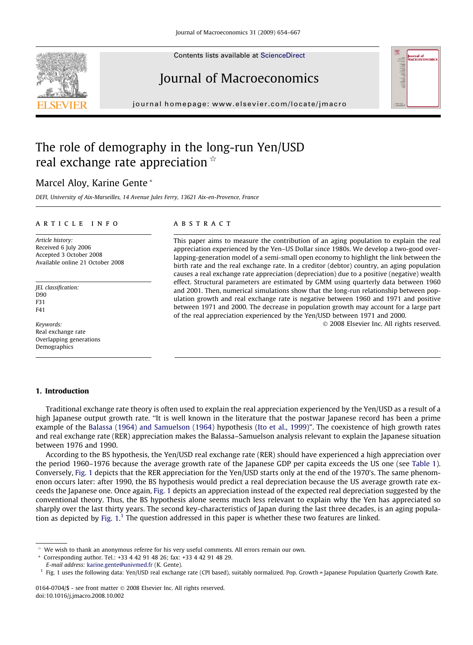Contents lists available at [ScienceDirect](http://www.sciencedirect.com/science/journal/01640704)



## Journal of Macroeconomics

journal homepage: [www.elsevier.com/locate/jmacro](http://www.elsevier.com/locate/jmacro)

### The role of demography in the long-run Yen/USD real exchange rate appreciation  $\dot{\alpha}$

### Marcel Aloy, Karine Gente \*

DEFI, University of Aix-Marseilles, 14 Avenue Jules Ferry, 13621 Aix-en-Provence, France

#### article info

Article history: Received 6 July 2006 Accepted 3 October 2008 Available online 21 October 2008

JEL classification: D90 F31 F41

Keywords: Real exchange rate Overlapping generations Demographics

### **ABSTRACT**

This paper aims to measure the contribution of an aging population to explain the real appreciation experienced by the Yen–US Dollar since 1980s. We develop a two-good overlapping-generation model of a semi-small open economy to highlight the link between the birth rate and the real exchange rate. In a creditor (debtor) country, an aging population causes a real exchange rate appreciation (depreciation) due to a positive (negative) wealth effect. Structural parameters are estimated by GMM using quarterly data between 1960 and 2001. Then, numerical simulations show that the long-run relationship between population growth and real exchange rate is negative between 1960 and 1971 and positive between 1971 and 2000. The decrease in population growth may account for a large part of the real appreciation experienced by the Yen/USD between 1971 and 2000.

- 2008 Elsevier Inc. All rights reserved.

#### 1. Introduction

Traditional exchange rate theory is often used to explain the real appreciation experienced by the Yen/USD as a result of a high Japanese output growth rate. ''It is well known in the literature that the postwar Japanese record has been a prime example of the [Balassa \(1964\) and Samuelson \(1964\)](#page--1-0) hypothesis ([Ito et al., 1999](#page--1-0))". The coexistence of high growth rates and real exchange rate (RER) appreciation makes the Balassa–Samuelson analysis relevant to explain the Japanese situation between 1976 and 1990.

According to the BS hypothesis, the Yen/USD real exchange rate (RER) should have experienced a high appreciation over the period 1960–1976 because the average growth rate of the Japanese GDP per capita exceeds the US one (see [Table 1](#page-1-0)). Conversely, [Fig. 1](#page-1-0) depicts that the RER appreciation for the Yen/USD starts only at the end of the 1970's. The same phenomenon occurs later: after 1990, the BS hypothesis would predict a real depreciation because the US average growth rate exceeds the Japanese one. Once again, [Fig. 1](#page-1-0) depicts an appreciation instead of the expected real depreciation suggested by the conventional theory. Thus, the BS hypothesis alone seems much less relevant to explain why the Yen has appreciated so sharply over the last thirty years. The second key-characteristics of Japan during the last three decades, is an aging population as depicted by Fig.  $1<sup>1</sup>$  The question addressed in this paper is whether these two features are linked.

Corresponding author. Tel.: +33 4 42 91 48 26; fax: +33 4 42 91 48 29.

We wish to thank an anonymous referee for his very useful comments. All errors remain our own.

E-mail address: [karine.gente@univmed.fr](mailto:karine.gente@univmed.fr) (K. Gente).

<sup>&</sup>lt;sup>1</sup> Fig. 1 uses the following data: Yen/USD real exchange rate (CPI based), suitably normalized. Pop. Growth = Japanese Population Quarterly Growth Rate.

<sup>0164-0704/\$ -</sup> see front matter © 2008 Elsevier Inc. All rights reserved. doi:10.1016/j.jmacro.2008.10.002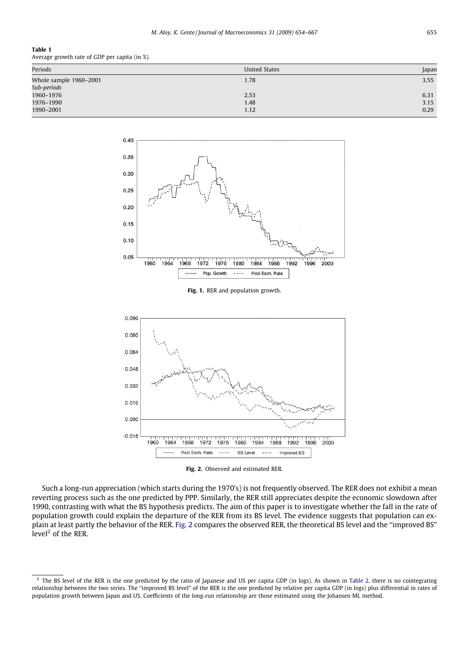#### <span id="page-1-0"></span>Table 1

Average growth rate of GDP per capita (in %).

| Periods                | <b>United States</b> | Japan |
|------------------------|----------------------|-------|
| Whole sample 1960–2001 | 1.78                 | 3.55  |
| Sub-periods            |                      |       |
| 1960-1976              | 2.53                 | 6.31  |
| 1976-1990              | 1.48                 | 3.15  |
| 1990-2001              | 1.12                 | 0.29  |



Fig. 1. RER and population growth.



Fig. 2. Observed and estimated RER.

Such a long-run appreciation (which starts during the 1970's) is not frequently observed. The RER does not exhibit a mean reverting process such as the one predicted by PPP. Similarly, the RER still appreciates despite the economic slowdown after 1990, contrasting with what the BS hypothesis predicts. The aim of this paper is to investigate whether the fall in the rate of population growth could explain the departure of the RER from its BS level. The evidence suggests that population can explain at least partly the behavior of the RER. Fig. 2 compares the observed RER, the theoretical BS level and the ''improved BS" level $<sup>2</sup>$  of the RER.</sup>

 $<sup>2</sup>$  The BS level of the RER is the one predicted by the ratio of Japanese and US per capita GDP (in logs). As shown in [Table 2](#page--1-0), there is no cointegrating</sup> relationship between the two series. The ''improved BS level" of the RER is the one predicted by relative per capita GDP (in logs) plus differential in rates of population growth between Japan and US. Coefficients of the long-run relationship are those estimated using the Johansen ML method.